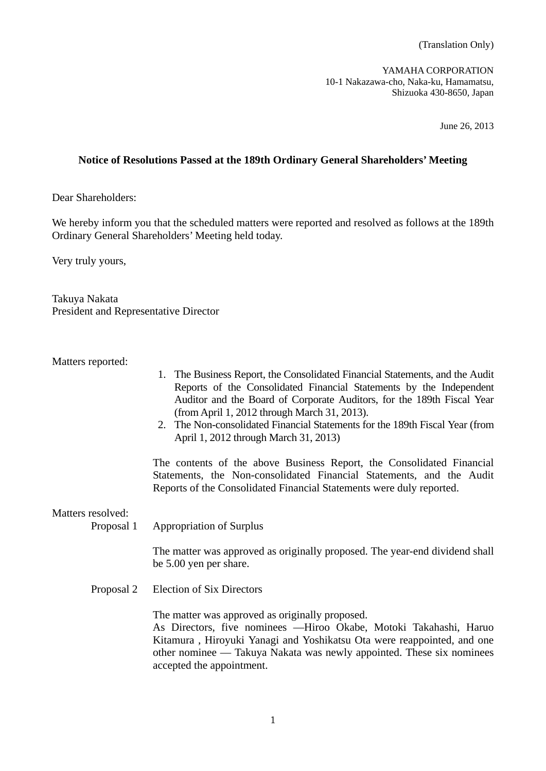YAMAHA CORPORATION 10-1 Nakazawa-cho, Naka-ku, Hamamatsu, Shizuoka 430-8650, Japan

June 26, 2013

## **Notice of Resolutions Passed at the 189th Ordinary General Shareholders' Meeting**

Dear Shareholders:

We hereby inform you that the scheduled matters were reported and resolved as follows at the 189th Ordinary General Shareholders' Meeting held today.

Very truly yours,

Takuya Nakata President and Representative Director

Matters reported:

- 1. The Business Report, the Consolidated Financial Statements, and the Audit Reports of the Consolidated Financial Statements by the Independent Auditor and the Board of Corporate Auditors, for the 189th Fiscal Year (from April 1, 2012 through March 31, 2013).
- 2. The Non-consolidated Financial Statements for the 189th Fiscal Year (from April 1, 2012 through March 31, 2013)

 The contents of the above Business Report, the Consolidated Financial Statements, the Non-consolidated Financial Statements, and the Audit Reports of the Consolidated Financial Statements were duly reported.

Matters resolved:

Proposal 1 Appropriation of Surplus

 The matter was approved as originally proposed. The year-end dividend shall be 5.00 yen per share.

Proposal 2 Election of Six Directors

The matter was approved as originally proposed.

 As Directors, five nominees ––Hiroo Okabe, Motoki Takahashi, Haruo Kitamura , Hiroyuki Yanagi and Yoshikatsu Ota were reappointed, and one other nominee –– Takuya Nakata was newly appointed. These six nominees accepted the appointment.